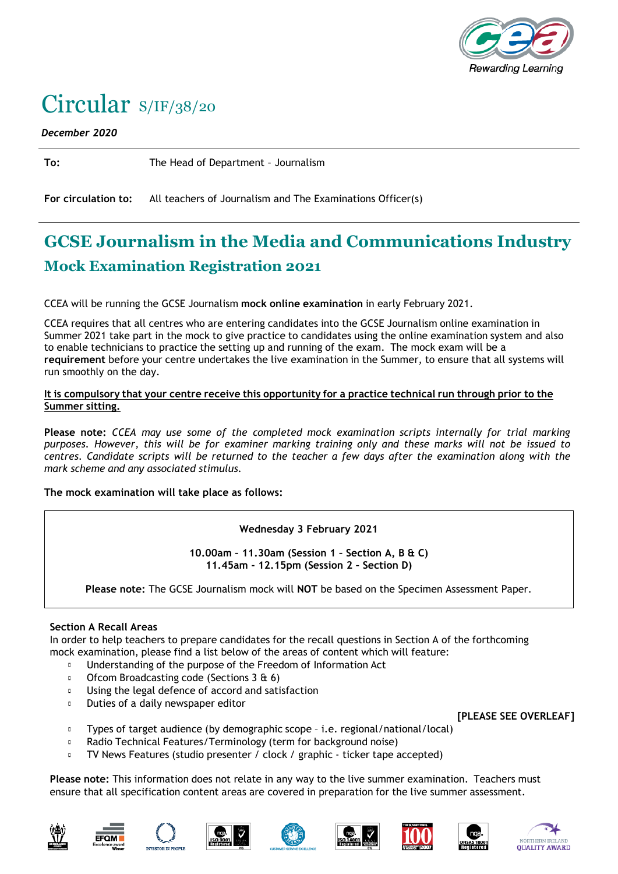

# Circular S/IF/38/20

*December 2020*

**To:** The Head of Department – Journalism

**For circulation to:** All teachers of Journalism and The Examinations Officer(s)

## **GCSE Journalism in the Media and Communications Industry Mock Examination Registration 2021**

CCEA will be running the GCSE Journalism **mock online examination** in early February 2021.

CCEA requires that all centres who are entering candidates into the GCSE Journalism online examination in Summer 2021 take part in the mock to give practice to candidates using the online examination system and also to enable technicians to practice the setting up and running of the exam. The mock exam will be a **requirement** before your centre undertakes the live examination in the Summer, to ensure that all systems will run smoothly on the day.

#### It is compulsory that your centre receive this opportunity for a practice technical run through prior to the **Summer sitting.**

**Please note:** *CCEA may use some of the completed mock examination scripts internally for trial marking purposes. However, this will be for examiner marking training only and these marks will not be issued to centres. Candidate scripts will be returned to the teacher a few days after the examination along with the mark scheme and any associated stimulus.*

#### **The mock examination will take place as follows:**

**Wednesday 3 February 2021**

**10.00am – 11.30am (Session 1 – Section A, B & C) 11.45am - 12.15pm (Session 2 – Section D)**

**Please note:** The GCSE Journalism mock will **NOT** be based on the Specimen Assessment Paper.

### **Section A Recall Areas**

In order to help teachers to prepare candidates for the recall questions in Section A of the forthcoming mock examination, please find a list below of the areas of content which will feature:

- $\Box$ Understanding of the purpose of the Freedom of Information Act
- $\mathbb{D}^{\mathbb{C}}$ Ofcom Broadcasting code (Sections 3 & 6)
- Using the legal defence of accord and satisfaction  $\blacksquare$
- $\mathbb{R}^+$ Duties of a daily newspaper editor

**[PLEASE SEE OVERLEAF]**

- Types of target audience (by demographic scope i.e. regional/national/local)  $\Box$
- Radio Technical Features/Terminology (term for background noise)  $\mathbf{r}$
- $\Box$ TV News Features (studio presenter / clock / graphic ‐ ticker tape accepted)

**Please note:** This information does not relate in any way to the live summer examination. Teachers must ensure that all specification content areas are covered in preparation for the live summer assessment.













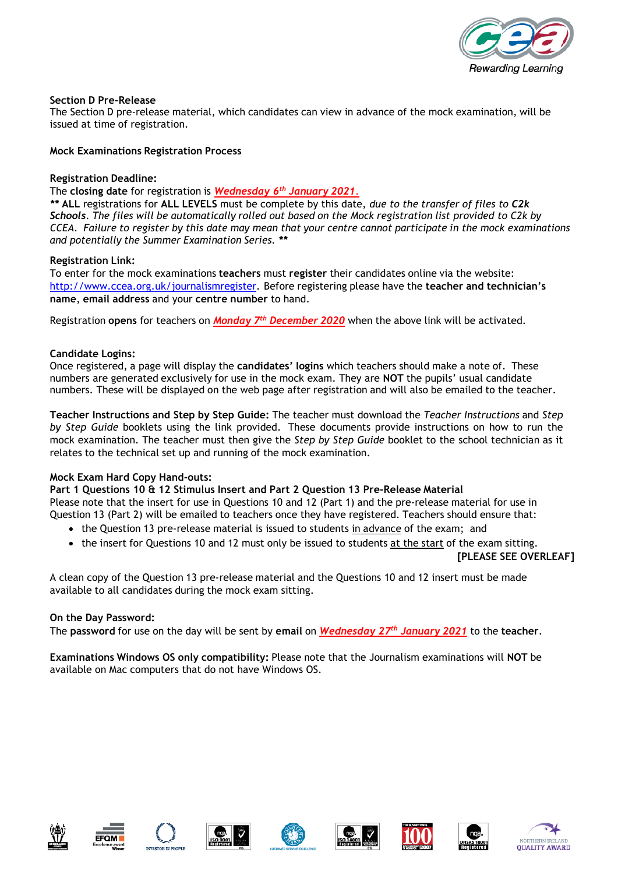

#### **Section D Pre‐Release**

The Section D pre-release material, which candidates can view in advance of the mock examination, will be issued at time of registration.

#### **Mock Examinations Registration Process**

#### **Registration Deadline:**

The **closing date** for registration is *Wednesday 6th January 2021*.

*\*\** **ALL** registrations for **ALL LEVELS** must be complete by this date, *due to the transfer of files to C2k* Schools. The files will be automatically rolled out based on the Mock registration list provided to C2k by *CCEA. Failure to register by this date may mean that your centre cannot participate in the mock examinations and potentially the Summer Examination Series. \*\**

#### **Registration Link:**

To enter for the mock examinations **teachers** must **register** their candidates online via the website: [http://www.ccea.org.uk/journalismregister.](http://www.ccea.org.uk/journalismregister) Before registering please have the **teacher and technician's name**, **email address** and your **centre number** to hand.

Registration **opens** for teachers on *Monday 7 th December 2020* when the above link will be activated.

#### **Candidate Logins:**

Once registered, a page will display the **candidates' logins** which teachers should make a note of. These numbers are generated exclusively for use in the mock exam. They are **NOT** the pupils' usual candidate numbers. These will be displayed on the web page after registration and will also be emailed to the teacher.

**Teacher Instructions and Step by Step Guide:** The teacher must download the *Teacher Instructions* and *Step by Step Guide* booklets using the link provided. These documents provide instructions on how to run the mock examination. The teacher must then give the *Step by Step Guide* booklet to the school technician as it relates to the technical set up and running of the mock examination.

#### **Mock Exam Hard Copy Hand‐outs:**

**Part 1 Questions 10 & 12 Stimulus Insert and Part 2 Question 13 Pre‐Release Material** Please note that the insert for use in Questions 10 and 12 (Part 1) and the pre‐release material for use in Question 13 (Part 2) will be emailed to teachers once they have registered. Teachers should ensure that:

- the Question 13 pre-release material is issued to students in advance of the exam; and
- the insert for Questions 10 and 12 must only be issued to students at the start of the exam sitting.

**[PLEASE SEE OVERLEAF]**

A clean copy of the Question 13 pre‐release material and the Questions 10 and 12 insert must be made available to all candidates during the mock exam sitting.

#### **On the Day Password:**

The **password** for use on the day will be sent by **email** on *Wednesday 27th January 2021* to the **teacher**.

**Examinations Windows OS only compatibility:** Please note that the Journalism examinations will **NOT** be available on Mac computers that do not have Windows OS.